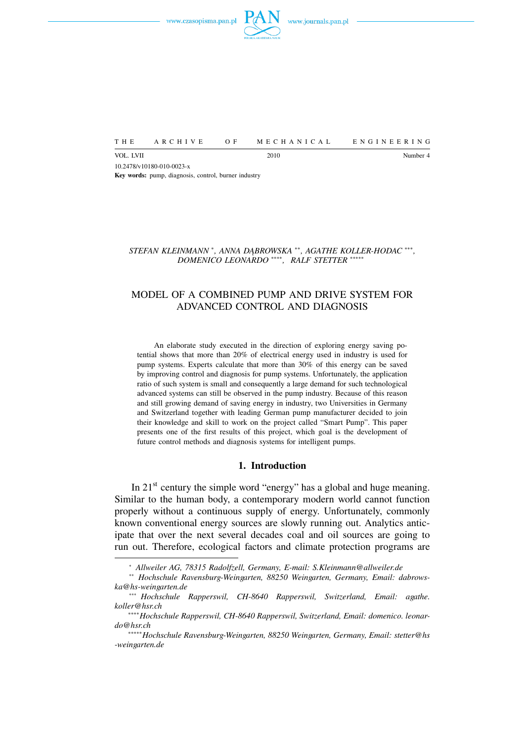

VOL. LVII Number 4 10.2478/v10180-010-0023-x **Key words:** pump, diagnosis, control, burner industry

*STEFAN KLEINMANN* <sup>∗</sup> *, ANNA DĄBROWSKA* ∗∗*, AGATHE KOLLER-HODAC* ∗∗∗ *, DOMENICO LEONARDO* ∗∗∗∗*, RALF STETTER* ∗∗∗∗∗

THE ARCHIVE OF MECHANICAL ENGINEERING

# MODEL OF A COMBINED PUMP AND DRIVE SYSTEM FOR ADVANCED CONTROL AND DIAGNOSIS

An elaborate study executed in the direction of exploring energy saving potential shows that more than 20% of electrical energy used in industry is used for pump systems. Experts calculate that more than 30% of this energy can be saved by improving control and diagnosis for pump systems. Unfortunately, the application ratio of such system is small and consequently a large demand for such technological advanced systems can still be observed in the pump industry. Because of this reason and still growing demand of saving energy in industry, two Universities in Germany and Switzerland together with leading German pump manufacturer decided to join their knowledge and skill to work on the project called "Smart Pump". This paper presents one of the first results of this project, which goal is the development of future control methods and diagnosis systems for intelligent pumps.

#### **1. Introduction**

In 21<sup>st</sup> century the simple word "energy" has a global and huge meaning. Similar to the human body, a contemporary modern world cannot function properly without a continuous supply of energy. Unfortunately, commonly known conventional energy sources are slowly running out. Analytics anticipate that over the next several decades coal and oil sources are going to run out. Therefore, ecological factors and climate protection programs are

<sup>∗</sup> *Allweiler AG, 78315 Radolfzell, Germany, E-mail: S.Kleinmann@allweiler.de*

<sup>∗∗</sup> *Hochschule Ravensburg-Weingarten, 88250 Weingarten, Germany, Email: dabrowska@hs-weingarten.de*

<sup>∗∗∗</sup> *Hochschule Rapperswil, CH-8640 Rapperswil, Switzerland, Email: agathe. koller@hsr.ch*

<sup>∗∗∗∗</sup>*Hochschule Rapperswil, CH-8640 Rapperswil, Switzerland, Email: domenico. leonardo@hsr.ch*

<sup>∗∗∗∗∗</sup>*Hochschule Ravensburg-Weingarten, 88250 Weingarten, Germany, Email: stetter@hs -weingarten.de*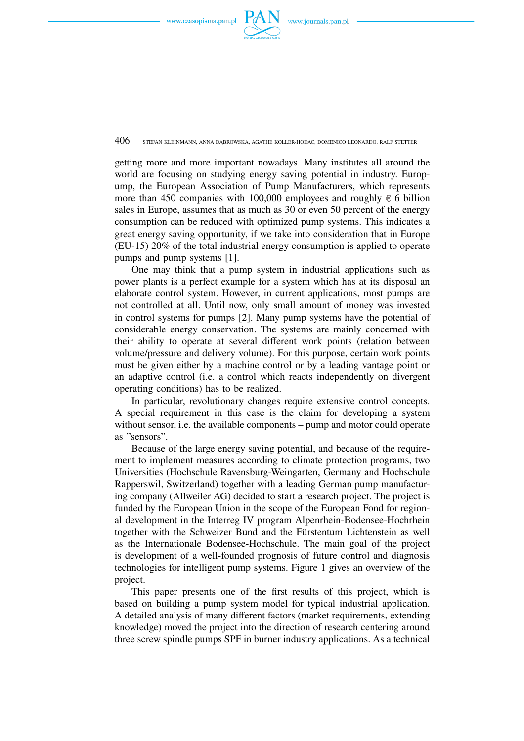

 $406$  stefan kleinmann, anna dabrowska, agathe koller-hodac, domenico leonardo, rale stetter

getting more and more important nowadays. Many institutes all around the world are focusing on studying energy saving potential in industry. Europump, the European Association of Pump Manufacturers, which represents more than 450 companies with 100,000 employees and roughly  $\epsilon$  6 billion sales in Europe, assumes that as much as 30 or even 50 percent of the energy consumption can be reduced with optimized pump systems. This indicates a great energy saving opportunity, if we take into consideration that in Europe (EU-15) 20% of the total industrial energy consumption is applied to operate pumps and pump systems [1].

One may think that a pump system in industrial applications such as power plants is a perfect example for a system which has at its disposal an elaborate control system. However, in current applications, most pumps are not controlled at all. Until now, only small amount of money was invested in control systems for pumps [2]. Many pump systems have the potential of considerable energy conservation. The systems are mainly concerned with their ability to operate at several different work points (relation between volume/pressure and delivery volume). For this purpose, certain work points must be given either by a machine control or by a leading vantage point or an adaptive control (i.e. a control which reacts independently on divergent operating conditions) has to be realized.

In particular, revolutionary changes require extensive control concepts. A special requirement in this case is the claim for developing a system without sensor, i.e. the available components – pump and motor could operate as "sensors".

Because of the large energy saving potential, and because of the requirement to implement measures according to climate protection programs, two Universities (Hochschule Ravensburg-Weingarten, Germany and Hochschule Rapperswil, Switzerland) together with a leading German pump manufacturing company (Allweiler AG) decided to start a research project. The project is funded by the European Union in the scope of the European Fond for regional development in the Interreg IV program Alpenrhein-Bodensee-Hochrhein together with the Schweizer Bund and the Fürstentum Lichtenstein as well as the Internationale Bodensee-Hochschule. The main goal of the project is development of a well-founded prognosis of future control and diagnosis technologies for intelligent pump systems. Figure 1 gives an overview of the project.

This paper presents one of the first results of this project, which is based on building a pump system model for typical industrial application. A detailed analysis of many different factors (market requirements, extending knowledge) moved the project into the direction of research centering around three screw spindle pumps SPF in burner industry applications. As a technical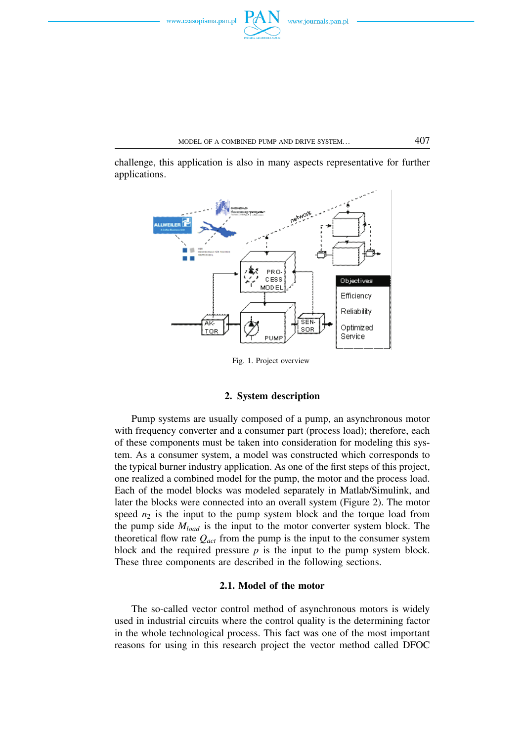challenge, this application is also in many aspects representative for further applications.



Fig. 1. Project overview

# **2. System description**

Pump systems are usually composed of a pump, an asynchronous motor with frequency converter and a consumer part (process load); therefore, each of these components must be taken into consideration for modeling this system. As a consumer system, a model was constructed which corresponds to the typical burner industry application. As one of the first steps of this project, one realized a combined model for the pump, the motor and the process load. Each of the model blocks was modeled separately in Matlab/Simulink, and later the blocks were connected into an overall system (Figure 2). The motor speed  $n_2$  is the input to the pump system block and the torque load from the pump side *Mload* is the input to the motor converter system block. The theoretical flow rate  $Q_{act}$  from the pump is the input to the consumer system block and the required pressure *p* is the input to the pump system block. These three components are described in the following sections.

# **2.1. Model of the motor**

The so-called vector control method of asynchronous motors is widely used in industrial circuits where the control quality is the determining factor in the whole technological process. This fact was one of the most important reasons for using in this research project the vector method called DFOC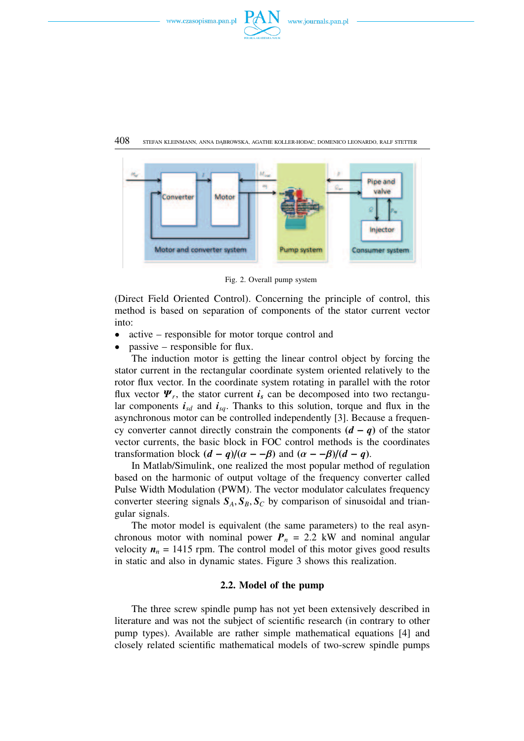





Fig. 2. Overall pump system

(Direct Field Oriented Control). Concerning the principle of control, this method is based on separation of components of the stator current vector into:

- active responsible for motor torque control and
- $passive responsible for flux.$

The induction motor is getting the linear control object by forcing the stator current in the rectangular coordinate system oriented relatively to the rotor flux vector. In the coordinate system rotating in parallel with the rotor flux vector  $\Psi_r$ , the stator current  $\boldsymbol{i}_s$  can be decomposed into two rectangular components  $i_{sd}$  and  $i_{sq}$ . Thanks to this solution, torque and flux in the asynchronous motor can be controlled independently [3]. Because a frequency converter cannot directly constrain the components  $(d - q)$  of the stator vector currents, the basic block in FOC control methods is the coordinates transformation block  $(d - q)/(a - \beta)$  and  $(a - \beta)/(d - q)$ .

In Matlab/Simulink, one realized the most popular method of regulation based on the harmonic of output voltage of the frequency converter called Pulse Width Modulation (PWM). The vector modulator calculates frequency converter steering signals  $S_A$ ,  $S_B$ ,  $S_C$  by comparison of sinusoidal and triangular signals.

The motor model is equivalent (the same parameters) to the real asynchronous motor with nominal power  $P_n = 2.2$  kW and nominal angular velocity  $n_n = 1415$  rpm. The control model of this motor gives good results in static and also in dynamic states. Figure 3 shows this realization.

# **2.2. Model of the pump**

The three screw spindle pump has not yet been extensively described in literature and was not the subject of scientific research (in contrary to other pump types). Available are rather simple mathematical equations [4] and closely related scientific mathematical models of two-screw spindle pumps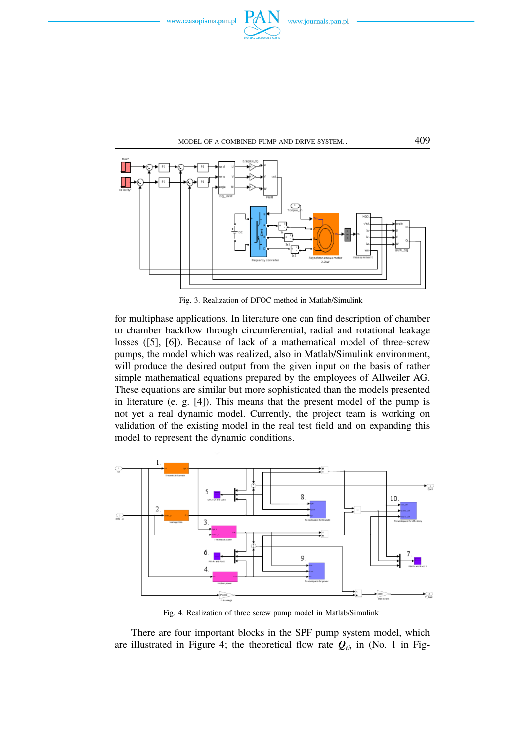





Fig. 3. Realization of DFOC method in Matlab/Simulink

for multiphase applications. In literature one can find description of chamber to chamber backflow through circumferential, radial and rotational leakage losses ([5], [6]). Because of lack of a mathematical model of three-screw pumps, the model which was realized, also in Matlab/Simulink environment, will produce the desired output from the given input on the basis of rather simple mathematical equations prepared by the employees of Allweiler AG. These equations are similar but more sophisticated than the models presented in literature (e. g. [4]). This means that the present model of the pump is not yet a real dynamic model. Currently, the project team is working on validation of the existing model in the real test field and on expanding this model to represent the dynamic conditions.



Fig. 4. Realization of three screw pump model in Matlab/Simulink

There are four important blocks in the SPF pump system model, which are illustrated in Figure 4; the theoretical flow rate  $Q_{th}$  in (No. 1 in Fig-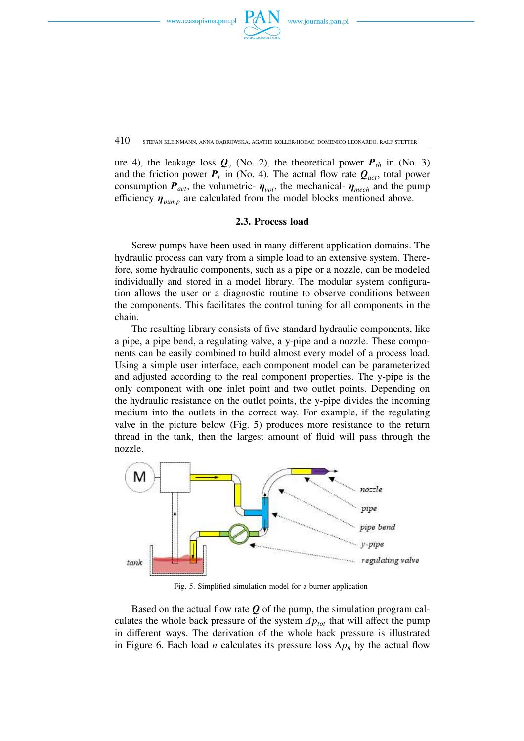

410 STEFAN KLEINMANN, ANNA DĄBROWSKA, AGATHE KOLLER-HODAC, DOMENICO LEONARDO, RALF STETTER

ure 4), the leakage loss  $Q_v$  (No. 2), the theoretical power  $P_{th}$  in (No. 3) and the friction power  $P_r$  in (No. 4). The actual flow rate  $Q_{act}$ , total power consumption  $P_{act}$ , the volumetric-  $\eta_{vol}$ , the mechanical-  $\eta_{mech}$  and the pump efficiency  $\eta_{pump}$  are calculated from the model blocks mentioned above.

# **2.3. Process load**

Screw pumps have been used in many different application domains. The hydraulic process can vary from a simple load to an extensive system. Therefore, some hydraulic components, such as a pipe or a nozzle, can be modeled individually and stored in a model library. The modular system configuration allows the user or a diagnostic routine to observe conditions between the components. This facilitates the control tuning for all components in the chain.

The resulting library consists of five standard hydraulic components, like a pipe, a pipe bend, a regulating valve, a y-pipe and a nozzle. These components can be easily combined to build almost every model of a process load. Using a simple user interface, each component model can be parameterized and adjusted according to the real component properties. The y-pipe is the only component with one inlet point and two outlet points. Depending on the hydraulic resistance on the outlet points, the y-pipe divides the incoming medium into the outlets in the correct way. For example, if the regulating valve in the picture below (Fig. 5) produces more resistance to the return thread in the tank, then the largest amount of fluid will pass through the nozzle.



Fig. 5. Simplified simulation model for a burner application

Based on the actual flow rate *Q* of the pump, the simulation program calculates the whole back pressure of the system  $\Delta p_{tot}$  that will affect the pump in different ways. The derivation of the whole back pressure is illustrated in Figure 6. Each load *n* calculates its pressure loss  $\Delta p_n$  by the actual flow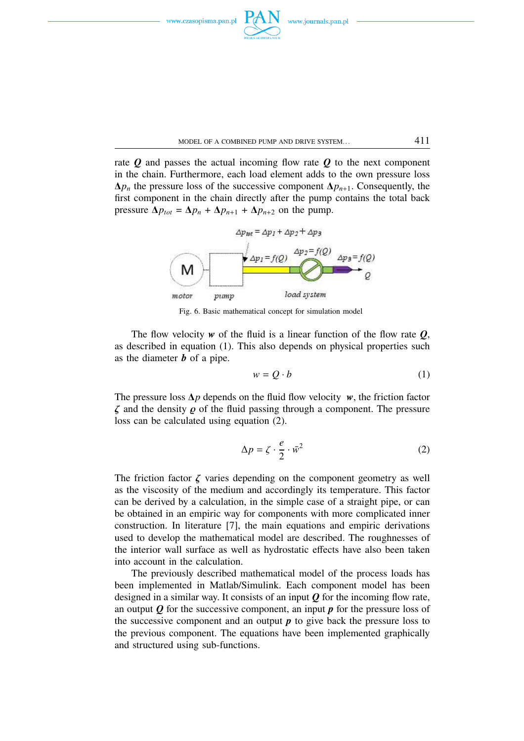



rate  $\boldsymbol{O}$  and passes the actual incoming flow rate  $\boldsymbol{O}$  to the next component in the chain. Furthermore, each load element adds to the own pressure loss  $\Delta p_n$  the pressure loss of the successive component  $\Delta p_{n+1}$ . Consequently, the first component in the chain directly after the pump contains the total back pressure  $\Delta p_{tot} = \Delta p_n + \Delta p_{n+1} + \Delta p_{n+2}$  on the pump.



Fig. 6. Basic mathematical concept for simulation model

The flow velocity  $w$  of the fluid is a linear function of the flow rate  $Q$ , as described in equation (1). This also depends on physical properties such as the diameter *b* of a pipe.

$$
w = Q \cdot b \tag{1}
$$

The pressure loss ∆*p* depends on the fluid flow velocity *w*, the friction factor  $\zeta$  and the density  $\rho$  of the fluid passing through a component. The pressure loss can be calculated using equation (2).

$$
\Delta p = \zeta \cdot \frac{e}{2} \cdot \bar{w}^2 \tag{2}
$$

The friction factor  $\zeta$  varies depending on the component geometry as well as the viscosity of the medium and accordingly its temperature. This factor can be derived by a calculation, in the simple case of a straight pipe, or can be obtained in an empiric way for components with more complicated inner construction. In literature [7], the main equations and empiric derivations used to develop the mathematical model are described. The roughnesses of the interior wall surface as well as hydrostatic effects have also been taken into account in the calculation.

The previously described mathematical model of the process loads has been implemented in Matlab/Simulink. Each component model has been designed in a similar way. It consists of an input *Q* for the incoming flow rate, an output *Q* for the successive component, an input *p* for the pressure loss of the successive component and an output  $p$  to give back the pressure loss to the previous component. The equations have been implemented graphically and structured using sub-functions.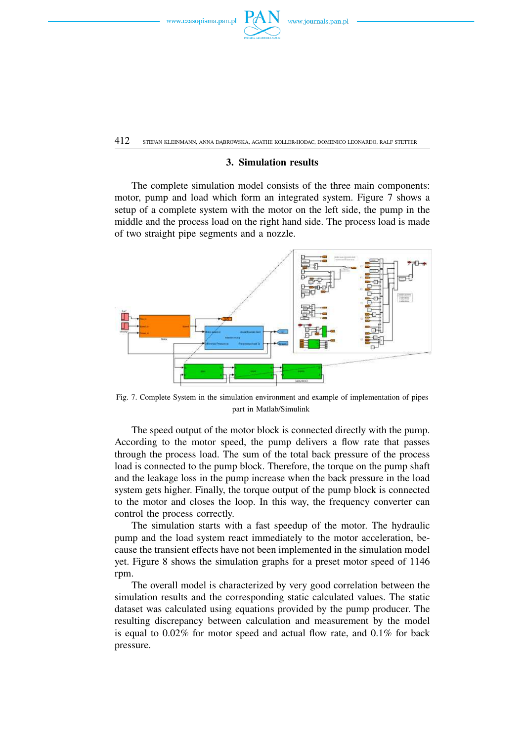



412 STEFAN KLEINMANN, ANNA DĄBROWSKA, AGATHE KOLLER-HODAC, DOMENICO LEONARDO, RALF STETTER

# **3. Simulation results**

The complete simulation model consists of the three main components: motor, pump and load which form an integrated system. Figure 7 shows a setup of a complete system with the motor on the left side, the pump in the middle and the process load on the right hand side. The process load is made of two straight pipe segments and a nozzle.



Fig. 7. Complete System in the simulation environment and example of implementation of pipes part in Matlab/Simulink

The speed output of the motor block is connected directly with the pump. According to the motor speed, the pump delivers a flow rate that passes through the process load. The sum of the total back pressure of the process load is connected to the pump block. Therefore, the torque on the pump shaft and the leakage loss in the pump increase when the back pressure in the load system gets higher. Finally, the torque output of the pump block is connected to the motor and closes the loop. In this way, the frequency converter can control the process correctly.

The simulation starts with a fast speedup of the motor. The hydraulic pump and the load system react immediately to the motor acceleration, because the transient effects have not been implemented in the simulation model yet. Figure 8 shows the simulation graphs for a preset motor speed of 1146 rpm.

The overall model is characterized by very good correlation between the simulation results and the corresponding static calculated values. The static dataset was calculated using equations provided by the pump producer. The resulting discrepancy between calculation and measurement by the model is equal to 0.02% for motor speed and actual flow rate, and 0.1% for back pressure.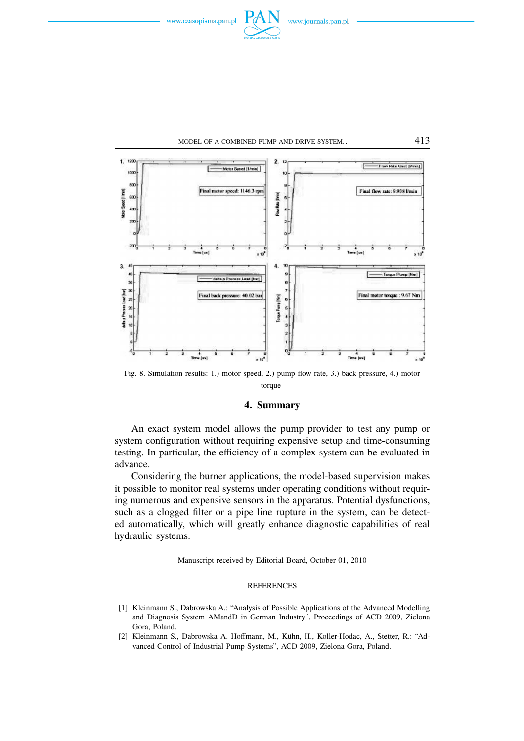





Fig. 8. Simulation results: 1.) motor speed, 2.) pump flow rate, 3.) back pressure, 4.) motor torque

#### **4. Summary**

An exact system model allows the pump provider to test any pump or system configuration without requiring expensive setup and time-consuming testing. In particular, the efficiency of a complex system can be evaluated in advance.

Considering the burner applications, the model-based supervision makes it possible to monitor real systems under operating conditions without requiring numerous and expensive sensors in the apparatus. Potential dysfunctions, such as a clogged filter or a pipe line rupture in the system, can be detected automatically, which will greatly enhance diagnostic capabilities of real hydraulic systems.

Manuscript received by Editorial Board, October 01, 2010

#### **REFERENCES**

- [1] Kleinmann S., Dabrowska A.: "Analysis of Possible Applications of the Advanced Modelling and Diagnosis System AMandD in German Industry", Proceedings of ACD 2009, Zielona Gora, Poland.
- [2] Kleinmann S., Dabrowska A. Hoffmann, M., Kuhn, H., Koller-Hodac, A., Stetter, R.: "Ad- ¨ vanced Control of Industrial Pump Systems", ACD 2009, Zielona Gora, Poland.